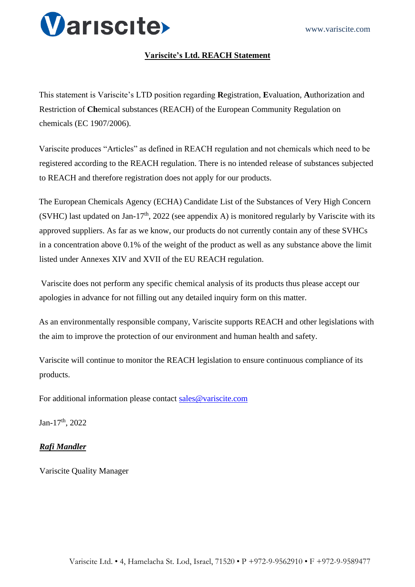

## **Variscite's Ltd. REACH Statement**

This statement is Variscite's LTD position regarding **R**egistration, **E**valuation, **A**uthorization and Restriction of **Ch**emical substances (REACH) of the European Community Regulation on chemicals (EC 1907/2006).

Variscite produces "Articles" as defined in REACH regulation and not chemicals which need to be registered according to the REACH regulation. There is no intended release of substances subjected to REACH and therefore registration does not apply for our products.

The European Chemicals Agency (ECHA) Candidate List of the Substances of Very High Concern (SVHC) last updated on Jan-17<sup>th</sup>, 2022 (see appendix A) is monitored regularly by Variscite with its approved suppliers. As far as we know, our products do not currently contain any of these SVHCs in a concentration above 0.1% of the weight of the product as well as any substance above the limit listed under Annexes XIV and XVII of the EU REACH regulation.

Variscite does not perform any specific chemical analysis of its products thus please accept our apologies in advance for not filling out any detailed inquiry form on this matter.

As an environmentally responsible company, Variscite supports REACH and other legislations with the aim to improve the protection of our environment and human health and safety.

Variscite will continue to monitor the REACH legislation to ensure continuous compliance of its products.

For additional information please contact sales@variscite.com

Jan-17th, 2022

## *Rafi Mandler*

Variscite Quality Manager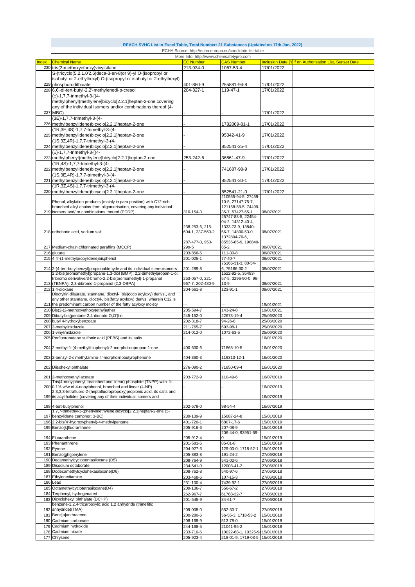| REACH SVHC List in Excel Table, Total Number: 21 Substances (Updated on 17th Jan, 2022) |  |                                                         |  |  |
|-----------------------------------------------------------------------------------------|--|---------------------------------------------------------|--|--|
|                                                                                         |  | ECHA Source: http://echa.europa.eu/candidate-list-table |  |  |

|       |                                                                              | More Info: http://www.chemsafetypro.com |                                 |            |                                                         |
|-------|------------------------------------------------------------------------------|-----------------------------------------|---------------------------------|------------|---------------------------------------------------------|
| Index | <b>Chemical Name</b>                                                         | <b>EC Number</b>                        | <b>CAS Number</b>               |            | Inclusion Date (Y If on Authorization List, Sunset Date |
|       | 230 tris(2-methoxyethoxy)vinylsilane                                         | 213-934-0                               | 1067-53-4                       | 17/01/2022 |                                                         |
|       | S-(tricyclo(5.2.1.0'2,6)deca-3-en-8(or 9)-yl O-(isopropyl or                 |                                         |                                 |            |                                                         |
|       |                                                                              |                                         |                                 |            |                                                         |
|       | isobutyl or 2-ethylhexyl) O-(isopropyl or isobutyl or 2-ethylhexyl)          |                                         |                                 |            |                                                         |
|       | 229 phosphorodithioate                                                       | 401-850-9                               | 255881-94-8                     | 17/01/2022 |                                                         |
|       | 228 6,6'-di-tert-butyl-2,2'-methylenedi-p-cresol                             | 204-327-1                               | 119-47-1                        | 17/01/2022 |                                                         |
|       | $(\pm)$ -1,7,7-trimethyl-3-[(4-                                              |                                         |                                 |            |                                                         |
|       | methylphenyl)methylene]bicyclo[2.2.1]heptan-2-one covering                   |                                         |                                 |            |                                                         |
|       |                                                                              |                                         |                                 |            |                                                         |
|       | any of the individual isomers and/or combinations thereof (4-                |                                         |                                 |            |                                                         |
|       | 227 MBC)                                                                     |                                         |                                 | 17/01/2022 |                                                         |
|       | (3E)-1,7,7-trimethyl-3-(4-                                                   |                                         |                                 |            |                                                         |
|       | 226 methylbenzylidene)bicyclo[2.2.1]heptan-2-one                             |                                         | 1782069-81-1                    | 17/01/2022 |                                                         |
|       | (1R, 3E, 4S)-1, 7, 7-trimethyl-3-(4-                                         |                                         |                                 |            |                                                         |
|       | 225 methylbenzylidene)bicyclo[2.2.1]heptan-2-one                             |                                         | 95342-41-9                      | 17/01/2022 |                                                         |
|       | (1S,3Z,4R)-1,7,7-trimethyl-3-(4-                                             |                                         |                                 |            |                                                         |
|       |                                                                              |                                         |                                 |            |                                                         |
|       | 224 methylbenzylidene)bicyclo[2.2.1]heptan-2-one                             |                                         | 852541-25-4                     | 17/01/2022 |                                                         |
|       | (±)-1,7,7-trimethyl-3-[(4-                                                   |                                         |                                 |            |                                                         |
|       | 223 methylphenyl) methylene] bicyclo[2.2.1] heptan-2-one                     | 253-242-6                               | 36861-47-9                      | 17/01/2022 |                                                         |
|       | (1R,4S)-1,7,7-trimethyl-3-(4-                                                |                                         |                                 |            |                                                         |
|       | 222 methylbenzylidene)bicyclo[2.2.1]heptan-2-one                             |                                         | 741687-98-9                     | 17/01/2022 |                                                         |
|       | (1S, 3E, 4R) - 1, 7, 7-trimethyl-3-(4-                                       |                                         |                                 |            |                                                         |
|       |                                                                              |                                         |                                 |            |                                                         |
|       | 221 methylbenzylidene)bicyclo[2.2.1]heptan-2-one                             |                                         | 852541-30-1                     | 17/01/2022 |                                                         |
|       | (1R, 3Z, 4S)-1, 7, 7-trimethyl-3-(4-                                         |                                         |                                 |            |                                                         |
|       | 220 methylbenzylidene)bicyclo[2.2.1]heptan-2-one                             |                                         | 852541-21-0                     | 17/01/2022 |                                                         |
|       |                                                                              |                                         | 210555-94-5, 27459-             |            |                                                         |
|       | Phenol, alkylation products (mainly in para position) with C12-rich          |                                         | 10-5, 27147-75-7,               |            |                                                         |
|       | branched alkyl chains from oligomerisation, covering any individual          |                                         | 121158-58-5, 74499-             |            |                                                         |
|       | 219 isomers and/ or combinations thereof (PDDP)                              | 310-154-3                               | 35-7, 57427-55-1                | 08/07/2021 |                                                         |
|       |                                                                              |                                         | 25747-83-5, 22454-              |            |                                                         |
|       |                                                                              |                                         | 04-2, 14312-40-4,               |            |                                                         |
|       |                                                                              | 238-253-6, 215-                         | 1333-73-9, 13840-               |            |                                                         |
|       | 218 orthoboric acid, sodium salt                                             | 604-1, 237-560-2                        | 56-7, 14890-53-0                | 08/07/2021 |                                                         |
|       |                                                                              |                                         | 1372804-76-6,                   |            |                                                         |
|       |                                                                              | 287-477-0, 950-                         | 85535-85-9, 198840-             |            |                                                         |
|       | 217 Medium-chain chlorinated paraffins (MCCP)                                | 299-5                                   | $65 - 2$                        | 08/07/2021 |                                                         |
|       | 216 glutaral                                                                 | 203-856-5                               | 111-30-8                        | 08/07/2021 |                                                         |
|       |                                                                              |                                         |                                 |            |                                                         |
|       | 215 4,4'-(1-methylpropylidene)bisphenol                                      | 201-025-1                               | 77-40-7                         | 08/07/2021 |                                                         |
|       |                                                                              |                                         | 75166-31-3, 80-54-              |            |                                                         |
|       | 214 2-(4-tert-butylbenzyl) propional dehyde and its individual stereoisomers | 201-289-8                               | 6,75166-30-2                    | 08/07/2021 |                                                         |
|       | 2,2-bis(bromomethyl)propane-1,3-diol (BMP); 2,2-dimethylpropan-1-ol,         |                                         | 1522-92-5, 36483-               |            |                                                         |
|       | tribromo derivative/3-bromo-2,2-bis(bromomethyl)-1-propanol                  | 253-057-0, 221-                         | 57-5, 3296-90-0, 96-            |            |                                                         |
|       | 213 (TBNPA); 2,3-dibromo-1-propanol (2,3-DBPA)                               | 967-7, 202-480-9                        | 13-9                            | 08/07/2021 |                                                         |
|       | 212 1,4-dioxane                                                              | 204-661-8                               | 123-91-1                        | 08/07/2021 |                                                         |
|       | Dioctyltin dilaurate, stannane, dioctyl-, bis(coco acyloxy) derivs., and     |                                         |                                 |            |                                                         |
|       | any other stannane, dioctyl-, bis(fatty acyloxy) derivs. wherein C12 is      |                                         |                                 |            |                                                         |
|       | 211 the predominant carbon number of the fatty acyloxy moiety                |                                         |                                 | 19/01/2021 |                                                         |
|       | 210 Bis(2-(2-methoxyethoxy)ethyl)ether                                       | 205-594-7                               | 143-24-8                        | 19/01/2021 |                                                         |
|       | 209 Dibutylbis(pentane-2,4-dionato-O,O')tin                                  | 245-152-0                               | 22673-19-4                      | 25/06/2020 |                                                         |
|       | 208 butyl 4-hydroxybenzoate                                                  | 202-318-7                               | 94-26-8                         | 25/06/2020 |                                                         |
|       | 2-methylimidazole                                                            | 211-765-7                               | 693-98-1                        | 25/06/2020 |                                                         |
| 207   |                                                                              |                                         |                                 |            |                                                         |
|       | 206 1-vinylimidazole                                                         | 214-012-0                               | 1072-63-5                       | 25/06/2020 |                                                         |
|       | 205 Perfluorobutane sulfonic acid (PFBS) and its salts                       |                                         |                                 | 16/01/2020 |                                                         |
|       |                                                                              |                                         |                                 |            |                                                         |
|       | 204 2-methyl-1-(4-methylthiophenyl)-2-morpholinopropan-1-one                 | 400-600-6                               | 71868-10-5                      | 16/01/2020 |                                                         |
|       |                                                                              |                                         |                                 |            |                                                         |
|       | 203 2-benzyl-2-dimethylamino-4'-morpholinobutyrophenone                      | 404-360-3                               | 119313-12-1                     | 16/01/2020 |                                                         |
|       |                                                                              |                                         |                                 |            |                                                         |
|       | 202 Diisohexyl phthalate                                                     | 276-090-2                               | 71850-09-4                      | 16/01/2020 |                                                         |
|       |                                                                              |                                         |                                 |            |                                                         |
|       | 201 2-methoxyethyl acetate                                                   | 203-772-9                               | 110-49-6                        | 16/07/2019 |                                                         |
|       | Tris(4-nonylphenyl, branched and linear) phosphite (TNPP) with $\geqslant$   |                                         |                                 |            |                                                         |
|       | 200 0.1% w/w of 4-nonylphenol, branched and linear (4-NP)                    |                                         |                                 | 16/07/2019 |                                                         |
|       | 2,3,3,3-tetrafluoro-2-(heptafluoropropoxy)propionic acid, its salts and      |                                         |                                 |            |                                                         |
|       | 199 its acyl halides (covering any of their individual isomers and           |                                         |                                 | 16/07/2019 |                                                         |
|       |                                                                              |                                         |                                 |            |                                                         |
|       | 198 4-tert-butylphenol                                                       | 202-679-0                               | 98-54-4                         | 16/07/2019 |                                                         |
|       | 1,7,7-trimethyl-3-(phenylmethylene)bicyclo[2.2.1]heptan-2-one (3-            |                                         |                                 |            |                                                         |
|       | 197 benzylidene camphor; 3-BC)                                               | 239-139-9                               | 15087-24-8                      | 15/01/2019 |                                                         |
|       | 196 2,2-bis(4'-hydroxyphenyl)-4-methylpentane                                | 401-720-1                               | 6807-17-6                       | 15/01/2019 |                                                         |
|       | 195 Benzo[k]fluoranthene                                                     | 205-916-6                               | 207-08-9                        | 15/01/2019 |                                                         |
|       |                                                                              |                                         | 206-44-0; 93951-69-             |            |                                                         |
|       | 194 Fluoranthene                                                             | 205-912-4                               | $\Omega$                        | 15/01/2019 |                                                         |
|       | 193 Phenanthrene                                                             | 201-581-5                               | 85-01-8                         | 15/01/2019 |                                                         |
|       | 192 Pyrene                                                                   | 204-927-3                               | 129-00-0; 1718-52-1             | 15/01/2019 |                                                         |
| 191   | Benzo[ghi]perylene                                                           | 205-883-8                               | 191-24-2                        | 27/06/2018 |                                                         |
|       |                                                                              |                                         |                                 |            |                                                         |
|       | 190 Decamethylcyclopentasiloxane (D5)                                        | 208-764-9                               | 541-02-6                        | 27/06/2018 |                                                         |
|       | 189 Disodium octaborate                                                      | 234-541-0                               | 12008-41-2                      | 27/06/2018 |                                                         |
|       | 188 Dodecamethylcyclohexasiloxane(D6)                                        | 208-762-8                               | 540-97-6                        | 27/06/2018 |                                                         |
| 187   | Ethylenediamine                                                              | 203-468-6                               | 107-15-3                        | 27/06/2018 |                                                         |
| 186   | Lead                                                                         | 231-100-4                               | 7439-92-1                       | 27/06/2018 |                                                         |
| 185   | Octamethylcyclotetrasiloxane(D4)                                             | 209-136-7                               | 556-67-2                        | 27/06/2018 |                                                         |
| 184   | Terphenyl, hydrogenated                                                      | 262-967-7                               | 61788-32-7                      | 27/06/2018 |                                                         |
|       |                                                                              |                                         |                                 |            |                                                         |
| 183   | Dicyclohexyl phthalate (DCHP)                                                | 201-545-9                               | 84-61-7                         | 27/06/2018 |                                                         |
|       | benzene-1,2,4-tricarboxylic acid 1,2 anhydride (trimellitic                  |                                         |                                 |            |                                                         |
| 182   | anhydride)(TMA)                                                              | 209-008-0                               | 552-30-7                        | 27/06/2018 |                                                         |
|       | 181 Benz[a]anthracene                                                        | 200-280-6                               | 56-55-3, 1718-53-2              | 15/01/2018 |                                                         |
| 180   | Cadmium carbonate                                                            | 208-168-9                               | 513-78-0                        | 15/01/2018 |                                                         |
|       | 179 Cadmium hydroxide                                                        | 244-168-5                               | 21041-95-2                      | 15/01/2018 |                                                         |
|       |                                                                              | 233-710-6                               | 10022-68-1, 10325-94 15/01/2018 |            |                                                         |
|       |                                                                              |                                         |                                 |            |                                                         |
|       | 178 Cadmium nitrate                                                          |                                         |                                 |            |                                                         |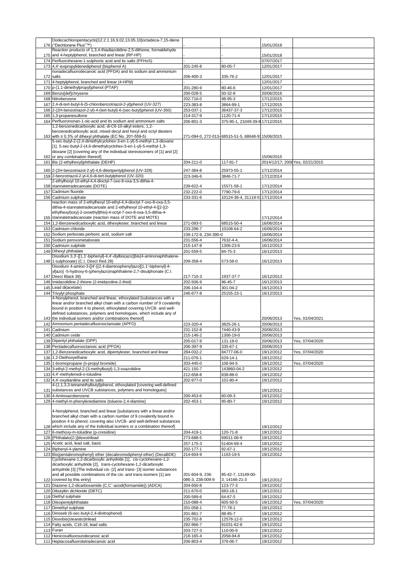|     | Dodecachloropentacyclo[12.2.1.16,9.02,13.05,10]octadeca-7,15-diene                                                                            |                        |                                                   |                                  |                 |
|-----|-----------------------------------------------------------------------------------------------------------------------------------------------|------------------------|---------------------------------------------------|----------------------------------|-----------------|
|     | 176 ("Dechlorane Plus"™)                                                                                                                      |                        |                                                   | 15/01/2018                       |                 |
|     | Reaction products of 1.3.4-thiadiazolidine-2.5-dithione, formaldehyde                                                                         |                        |                                                   |                                  |                 |
|     | 175 and 4-heptylphenol, branched and linear (RP-HP)                                                                                           |                        |                                                   | 15/01/2018                       |                 |
|     | 174 Perfluorohexane-1-sulphonic acid and its salts (PFHxS)                                                                                    |                        |                                                   | 07/07/2017                       |                 |
|     | 173 4,4'-isopropylidenediphenol (bisphenol A)<br>nonadecafluorodecanoic acid (PFDA) and its sodium and ammonium                               | 201-245-8              | 80-05-7                                           | 12/01/2017                       |                 |
|     | 172 salts                                                                                                                                     | 206-400-3              | 335-76-2                                          | 12/01/2017                       |                 |
|     | 171 4-heptylphenol, branched and linear (4-HPbl)                                                                                              |                        |                                                   | 12/01/2017                       |                 |
|     | 170 p-(1,1-dimethylpropyl)phenol (PTAP)                                                                                                       | 201-280-9              | 80-46-6                                           | 12/01/2017                       |                 |
|     | 169 Benzo[def]chrysene                                                                                                                        | 200-028-5              | $50 - 32 - 8$                                     | 20/06/2016                       |                 |
|     | 168 Nitrobenzene                                                                                                                              | 202-716-0              | 98-95-3                                           | 17/12/2015                       |                 |
|     | 167 2,4-di-tert-butyl-6-(5-chlorobenzotriazol-2-yl)phenol (UV-327)                                                                            | 223-383-8              | 3864-99-1                                         | 17/12/2015                       |                 |
|     | 166 2-(2H-benzotriazol-2-yl)-4-(tert-butyl)-6-(sec-butyl)phenol (UV-350)                                                                      | 253-037-1              | 36437-37-3                                        | 17/12/2015                       |                 |
|     | 165 1,3-propanesultone                                                                                                                        | 214-317-9              | 1120-71-4                                         | 17/12/2015                       |                 |
|     | 164 Perfluorononan-1-oic-acid and its sodium and ammonium salts                                                                               | 206-801-3              | 375-95-1, 21049-39-8 17/12/2015                   |                                  |                 |
|     | 1,2-benzenedicarboxylic acid, di-C6-10-alkyl esters; 1,2-                                                                                     |                        |                                                   |                                  |                 |
|     | benzenedicarboxylic acid, mixed decyl and hexyl and octyl diesters                                                                            |                        |                                                   |                                  |                 |
|     | 163 with ≥ 0.3% of dihexyl phthalate (EC No. 201-559-5)                                                                                       |                        | 271-094-0, 272-013-68515-51-5, 68648-9315/06/2015 |                                  |                 |
|     | 5-sec-butyl-2-(2,4-dimethylcyclohex-3-en-1-yl)-5-methyl-1,3-dioxane                                                                           |                        |                                                   |                                  |                 |
|     | [1], 5-sec-butyl-2-(4,6-dimethylcyclohex-3-en-1-yl)-5-methyl-1,3-<br>dioxane [2] [covering any of the individual stereoisomers of [1] and [2] |                        |                                                   |                                  |                 |
|     | 162 or any combination thereof]                                                                                                               |                        |                                                   | 15/06/2015                       |                 |
|     | 161 Bis (2-ethylhexyl)phthalate (DEHP)                                                                                                        | 204-211-0              | 117-81-7                                          | 2014/12/17; 2008 Yes, 02/21/2015 |                 |
|     |                                                                                                                                               |                        |                                                   |                                  |                 |
|     | 160 2-(2H-benzotriazol-2-yl)-4,6-ditertpentylphenol (UV-328)                                                                                  | 247-384-8              | 25973-55-1                                        | 17/12/2014                       |                 |
|     | 159 2-benzotriazol-2-yl-4,6-di-tert-butylphenol (UV-320)                                                                                      | 223-346-6              | 3846-71-7                                         | 17/12/2014                       |                 |
|     | 2-ethylhexyl 10-ethyl-4,4-dioctyl-7-oxo-8-oxa-3,5-dithia-4-                                                                                   |                        |                                                   |                                  |                 |
|     | 158 stannatetradecanoate (DOTE)                                                                                                               | 239-622-4              | 15571-58-1                                        | 17/12/2014<br>17/12/2014         |                 |
|     | 157 Cadmium fluoride                                                                                                                          | 232-222-0              | 7790-79-6<br>10124-36-4, 31119-5317/12/2014       |                                  |                 |
|     | 156 Cadmium sulphate<br>reaction mass of 2-ethylhexyl 10-ethyl-4,4-dioctyl-7-oxo-8-oxa-3,5-                                                   | 233-331-6              |                                                   |                                  |                 |
|     | dithia-4-stannatetradecanoate and 2-ethylhexyl 10-ethyl-4-[[2-[(2-                                                                            |                        |                                                   |                                  |                 |
|     | ethylhexyl)oxy]-2-oxoethyl]thio]-4-octyl-7-oxo-8-oxa-3,5-dithia-4-                                                                            |                        |                                                   |                                  |                 |
|     | 155 stannatetradecanoate (reaction mass of DOTE and MOTE)                                                                                     |                        |                                                   | 17/12/2014                       |                 |
|     | 154 1,2-Benzenedicarboxylic acid, dihexylester, branched and linear                                                                           | 271-093-5              | 68515-50-4                                        | 16/06/2014                       |                 |
|     | 153 Cadmium chloride                                                                                                                          | 233-296-7              | 10108-64-2                                        | 16/06/2014                       |                 |
|     | 152 Sodium perborate, perboric acid, sodium salt                                                                                              | 239-172-9, 234-390-0   |                                                   | 16/06/2014                       |                 |
|     | 151 Sodium peroxometaborate                                                                                                                   | 231-556-4              | 7632-4-4,                                         | 16/06/2014                       |                 |
|     | 150 Cadmium sulphide                                                                                                                          | 215-147-8              | 1306-23-6                                         | 16/12/2013                       |                 |
|     | 149 Dihexyl phthalate                                                                                                                         | 201-559-5              | 84-75-3                                           | 16/12/2013                       |                 |
|     | Disodium 3,3'-[[1,1'-biphenyl]-4,4'-diylbis(azo)]bis(4-aminonaphthalene-                                                                      |                        |                                                   |                                  |                 |
|     | 148 1-sulphonate) (C.I. Direct Red 28)                                                                                                        | 209-358-4              | 573-58-0                                          | 16/12/2013                       |                 |
|     | Disodium 4-amino-3-[[4'-[(2,4-diaminophenyl)azo][1,1'-biphenyl]-4-<br>yl]azo] -5-hydroxy-6-(phenylazo)naphthalene-2,7-disulphonate (C.I.      |                        |                                                   |                                  |                 |
|     | 147 Direct Black 38)                                                                                                                          | 217-710-3              | 1937-37-7                                         | 16/12/2013                       |                 |
|     | 146 Imidazolidine-2-thione (2-imidazoline-2-thiol)                                                                                            | 202-506-9              | 96-45-7                                           | 16/12/2013                       |                 |
|     | 145 Lead di(acetate)                                                                                                                          | 206-104-4              | 301-04-2                                          | 16/12/2013                       |                 |
|     | 144 Trixylyl phosphate                                                                                                                        | 246-677-8              | 25155-23-1                                        | 16/12/2013                       |                 |
|     | 4-Nonylphenol, branched and linear, ethoxylated [substances with a                                                                            |                        |                                                   |                                  |                 |
|     | linear and/or branched alkyl chain with a carbon number of 9 covalently                                                                       |                        |                                                   |                                  |                 |
|     | bound in position 4 to phenol, ethoxylated covering UVCB- and well-                                                                           |                        |                                                   |                                  |                 |
|     | defined substances, polymers and homologues, which include any of                                                                             |                        |                                                   |                                  |                 |
|     | 143 the individual isomers and/or combinations thereof]                                                                                       |                        |                                                   | 20/06/2013                       | Yes, 01/04/2021 |
|     | 142 Ammonium pentadecafluorooctanoate (APFO)                                                                                                  | 223-320-4              | 3825-26-1                                         | 20/06/2013                       |                 |
|     |                                                                                                                                               |                        | 7440-43-9                                         | 20/06/2013                       |                 |
|     | 141 Cadmium                                                                                                                                   | 231-152-8              |                                                   |                                  |                 |
|     | 140 Cadmium oxide                                                                                                                             | 215-146-2              | 1306-19-0                                         | 20/06/2013                       |                 |
|     | 139 Dipentyl phthalate (DPP)                                                                                                                  | 205-017-9              | 131-18-0                                          | 20/06/2013                       | Yes, 07/04/2020 |
|     | 138 Pentadecafluorooctanoic acid (PFOA)                                                                                                       | 206-397-9              | 335-67-1                                          | 20/06/2013                       |                 |
|     | 137 1,2-Benzenedicarboxylic acid, dipentylester, branched and linear                                                                          | 284-032-2              | 84777-06-0                                        | 19/12/2012                       | Yes, 07/04/2020 |
|     | 136 1,2-Diethoxyethane                                                                                                                        | 211-076-1              | 629-14-1                                          | 19/12/2012                       |                 |
|     | 135 1-bromopropane (n-propyl bromide)                                                                                                         | 203-445-0              | 106-94-5                                          | 19/12/2012                       | Yes, 07/04/2020 |
|     | 134 3-ethyl-2-methyl-2-(3-methylbutyl)-1,3-oxazolidine                                                                                        | 421-150-7              | 143860-04-2                                       | 19/12/2012                       |                 |
|     | 133 4,4'-methylenedi-o-toluidine                                                                                                              | 212-658-8              | 838-88-0                                          | 19/12/2012                       |                 |
|     | 132 4,4'-oxydianiline and its salts                                                                                                           | 202-977-0              | 101-80-4                                          | 19/12/2012                       |                 |
|     | 4-(1,1,3,3-tetramethylbutyl)phenol, ethoxylated [covering well-defined<br>131 substances and UVCB substances, polymers and homologues]        |                        |                                                   | 19/12/2012                       |                 |
|     | 130 4-Aminoazobenzene                                                                                                                         | 200-453-6              | 60-09-3                                           | 19/12/2012                       |                 |
|     | 129 4-methyl-m-phenylenediamine (toluene-2,4-diamine)                                                                                         | 202-453-1              | 95-80-7                                           | 19/12/2012                       |                 |
|     |                                                                                                                                               |                        |                                                   |                                  |                 |
|     | 4-Nonylphenol, branched and linear [substances with a linear and/or                                                                           |                        |                                                   |                                  |                 |
|     | branched alkyl chain with a carbon number of 9 covalently bound in                                                                            |                        |                                                   |                                  |                 |
|     | position 4 to phenol, covering also UVCB- and well-defined substances                                                                         |                        |                                                   |                                  |                 |
|     | 128 which include any of the individual isomers or a combination thereof]                                                                     |                        |                                                   | 19/12/2012                       |                 |
|     | 127 6-methoxy-m-toluidine (p-cresidine)                                                                                                       | 204-419-1              | 120-71-8                                          | 19/12/2012                       |                 |
|     | 126 [Phthalato(2-)]dioxotrilead<br>125 Acetic acid, lead salt, basic                                                                          | 273-688-5              | 69011-06-9<br>51404-69-4                          | 19/12/2012                       |                 |
|     | 124 Biphenyl-4-ylamine                                                                                                                        | 257-175-3              |                                                   | 19/12/2012                       |                 |
|     | 123 Bis(pentabromophenyl) ether (decabromodiphenyl ether) (DecaBDE)                                                                           | 202-177-1<br>214-604-9 | $92 - 67 - 1$<br>1163-19-5                        | 19/12/2012<br>19/12/2012         |                 |
|     | Cyclohexane-1,2-dicarboxylic anhydride [1], cis-cyclohexane-1,2-                                                                              |                        |                                                   |                                  |                 |
|     | dicarboxylic anhydride [2], trans-cyclohexane-1,2-dicarboxylic                                                                                |                        |                                                   |                                  |                 |
|     | anhydride [3] [The individual cis- [2] and trans- [3] isomer substances                                                                       |                        |                                                   |                                  |                 |
|     | and all possible combinations of the cis- and trans-isomers [1] are                                                                           | 201-604-9, 236-        | 85-42-7, 13149-00-                                |                                  |                 |
|     | 122 covered by this entry]                                                                                                                    | 086-3, 238-009-9       | 3, 14166-21-3                                     | 19/12/2012                       |                 |
|     | 121 Diazene-1,2-dicarboxamide (C,C`-azodi(formamide)) (ADCA)                                                                                  | 204-650-8              | 123-77-3                                          | 19/12/2012                       |                 |
|     | 120 Dibutyltin dichloride (DBTC)                                                                                                              | 211-670-0              | 683-18-1                                          | 19/12/2012                       |                 |
|     | 119 Diethyl sulphate                                                                                                                          | 200-589-6              | 64-67-5                                           | 19/12/2012                       |                 |
|     | 118 Diisopentylphthalate                                                                                                                      | 210-088-4              | 605-50-5                                          | 19/12/2012                       | Yes, 07/04/2020 |
|     | 117 Dimethyl sulphate                                                                                                                         | 201-058-1              | 77-78-1                                           | 19/12/2012                       |                 |
| 116 | Dinoseb (6-sec-butyl-2,4-dinitrophenol)                                                                                                       | 201-861-7              | 88-85-7                                           | 19/12/2012                       |                 |
|     | 115 Dioxobis(stearato)trilead                                                                                                                 | 235-702-8              | 12578-12-0                                        | 19/12/2012                       |                 |
|     | 114 Fatty acids, C16-18, lead salts                                                                                                           | 292-966-7              | 91031-62-8                                        | 19/12/2012                       |                 |
|     | 113 Furan                                                                                                                                     | 203-727-3              | 110-00-9                                          | 19/12/2012                       |                 |
|     | 112 Henicosafluoroundecanoic acid<br>111 Heptacosafluorotetradecanoic acid                                                                    | 218-165-4<br>206-803-4 | 2058-94-8<br>376-06-7                             | 19/12/2012<br>19/12/2012         |                 |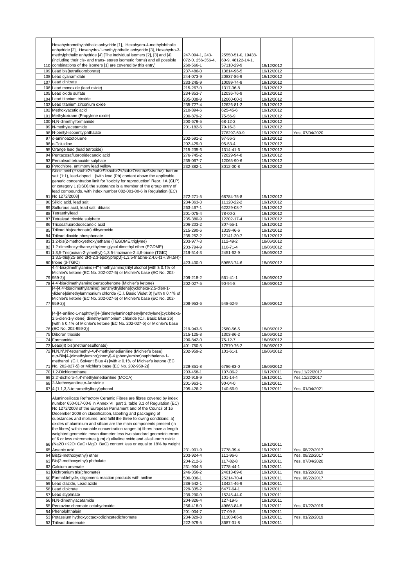|            | Hexahydromethylphthalic anhydride [1], Hexahydro-4-methylphthalic                                                                                  |                        |                          |                          |                                    |
|------------|----------------------------------------------------------------------------------------------------------------------------------------------------|------------------------|--------------------------|--------------------------|------------------------------------|
|            | anhydride [2], Hexahydro-1-methylphthalic anhydride [3], Hexahydro-3-                                                                              |                        |                          |                          |                                    |
|            | methylphthalic anhydride [4] [The individual isomers [2], [3] and [4]                                                                              | 247-094-1, 243-        | 25550-51-0, 19438-       |                          |                                    |
|            | (including their cis- and trans- stereo isomeric forms) and all possible                                                                           | 072-0, 256-356-4,      | 60-9, 48122-14-1,        |                          |                                    |
|            | 110 combinations of the isomers [1] are covered by this entry]                                                                                     | 260-566-1              | 57110-29-9               | 19/12/2012               |                                    |
| 109        | Lead bis(tetrafluoroborate)                                                                                                                        | 237-486-0              | 13814-96-5               | 19/12/2012               |                                    |
| 108<br>107 | Lead cyanamidate<br>Lead dinitrate                                                                                                                 | 244-073-9<br>233-245-9 | 20837-86-9<br>10099-74-8 | 19/12/2012<br>19/12/2012 |                                    |
| 106        | Lead monoxide (lead oxide)                                                                                                                         | 215-267-0              | 1317-36-8                | 19/12/2012               |                                    |
| 105        | Lead oxide sulfate                                                                                                                                 | 234-853-7              | 12036-76-9               | 19/12/2012               |                                    |
| 104        | Lead titanium trioxide                                                                                                                             | 235-038-9              | 12060-00-3               | 19/12/2012               |                                    |
| 103        | Lead titanium zirconium oxide                                                                                                                      | 235-727-4              | 12626-81-2               | 19/12/2012               |                                    |
| 102        | Methoxyacetic acid                                                                                                                                 | 210-894-6              | 625-45-6                 | 19/12/2012               |                                    |
| 101        | Methyloxirane (Propylene oxide)                                                                                                                    | 200-879-2              | 75-56-9                  | 19/12/2012               |                                    |
| 100        | N,N-dimethylformamide                                                                                                                              | 200-679-5              | 68-12-2                  | 19/12/2012               |                                    |
| 99         | N-methylacetamide                                                                                                                                  | 201-182-6              | 79-16-3                  | 19/12/2012               |                                    |
|            | 98 N-pentyl-isopentylphthalate<br>o-aminoazotoluene                                                                                                |                        | 776297-69-9<br>97-56-3   | 19/12/2012               | Yes, 07/04/2020                    |
| 97<br>96   | o-Toluidine                                                                                                                                        | 202-591-2<br>202-429-0 | 95-53-4                  | 19/12/2012<br>19/12/2012 |                                    |
|            | 95 Orange lead (lead tetroxide)                                                                                                                    | 215-235-6              | 1314-41-6                | 19/12/2012               |                                    |
| 94         | Pentacosafluorotridecanoic acid                                                                                                                    | 276-745-2              | 72629-94-8               | 19/12/2012               |                                    |
| 93         | Pentalead tetraoxide sulphate                                                                                                                      | 235-067-7              | 12065-90-6               | 19/12/2012               |                                    |
| 92         | Pyrochlore, antimony lead yellow                                                                                                                   | 232-382-1              | 8012-00-8                | 19/12/2012               |                                    |
|            | Silicic acid (H <sub>2</sub> Si <sub>2</sub> O <sub>5</sub> ), barium                                                                              |                        |                          |                          |                                    |
|            | salt (1:1), lead-doped [with lead (Pb) content above the applicable                                                                                |                        |                          |                          |                                    |
|            | generic concentration limit for 'toxicity for reproduction' Repr. 1A (CLP)<br>or category 1 (DSD), the substance is a member of the group entry of |                        |                          |                          |                                    |
|            | lead compounds, with index number 082-001-00-6 in Regulation (EC)                                                                                  |                        |                          |                          |                                    |
| 91         | No 1272/2008]                                                                                                                                      | 272-271-5              | 68784-75-8               | 19/12/2012               |                                    |
| 90         | Silicic acid, lead salt                                                                                                                            | 234-363-3              | 11120-22-2               | 19/12/2012               |                                    |
| 89         | Sulfurous acid, lead salt, dibasic                                                                                                                 | 263-467-1              | 62229-08-7               | 19/12/2012               |                                    |
| 88         | Tetraethyllead                                                                                                                                     | 201-075-4              | 78-00-2                  | 19/12/2012               |                                    |
| 87         | Tetralead trioxide sulphate                                                                                                                        | 235-380-9              | 12202-17-4               | 19/12/2012               |                                    |
| 86         | Tricosafluorododecanoic acid                                                                                                                       | 206-203-2              | 307-55-1                 | 19/12/2012               |                                    |
| 85         | Trilead bis(carbonate) dihydroxide                                                                                                                 | 215-290-6              | 1319-46-6                | 19/12/2012               |                                    |
| 84         | Trilead dioxide phosphonate                                                                                                                        | 235-252-2              | 12141-20-7               | 19/12/2012               |                                    |
| 83         | 1,2-bis(2-methoxyethoxy)ethane (TEGDME,triglyme)                                                                                                   | 203-977-3              | 112-49-2                 | 18/06/2012               |                                    |
| 82         | 1,2-dimethoxyethane, ethylene glycol dimethyl ether (EGDME)                                                                                        | 203-794-9              | 110-71-4                 | 18/06/2012               |                                    |
| 81         | 1,3,5-Tris(oxiran-2-ylmethyl)-1,3,5-triazinane-2,4,6-trione (TGIC)<br>1,3,5-tris[(2S and 2R)-2,3-epoxypropyl]-1,3,5-triazine-2,4,6-(1H,3H,5H)-     | 219-514-3              | 2451-62-9                | 18/06/2012               |                                    |
|            | 80 trione (β-TGIC)                                                                                                                                 | 423-400-0              | 59653-74-6               | 18/06/2012               |                                    |
|            | 4,4'-bis(dimethylamino)-4"-(methylamino)trityl alcohol [with ≥ 0.1% of                                                                             |                        |                          |                          |                                    |
|            | Michler's ketone (EC No. 202-027-5) or Michler's base (EC No. 202-                                                                                 |                        |                          |                          |                                    |
|            | 79 959-2)]                                                                                                                                         | 209-218-2              | 561-41-1                 | 18/06/2012               |                                    |
|            | 78 4,4'-bis(dimethylamino)benzophenone (Michler's ketone)                                                                                          | 202-027-5              | 90-94-8                  | 18/06/2012               |                                    |
|            | [4-[4,4'-bis(dimethylamino) benzhydrylidene]cyclohexa-2,5-dien-1-<br>ylidene]dimethylammonium chloride (C.I. Basic Violet 3) [with ≥ 0.1% of       |                        |                          |                          |                                    |
|            | Michler's ketone (EC No. 202-027-5) or Michler's base (EC No. 202-                                                                                 |                        |                          |                          |                                    |
|            | 77 959-2)]                                                                                                                                         | 208-953-6              | 548-62-9                 | 18/06/2012               |                                    |
|            |                                                                                                                                                    |                        |                          |                          |                                    |
|            | [4-[[4-anilino-1-naphthyl][4-(dimethylamino)phenyl]methylene]cyclohexa-                                                                            |                        |                          |                          |                                    |
|            | 2,5-dien-1-ylidene] dimethylammonium chloride (C.I. Basic Blue 26)<br>[with ≥ 0.1% of Michler's ketone (EC No. 202-027-5) or Michler's base        |                        |                          |                          |                                    |
|            | 76 (EC No. 202-959-2)]                                                                                                                             | 219-943-6              | 2580-56-5                | 18/06/2012               |                                    |
| 75         | Diboron trioxide                                                                                                                                   | 215-125-8              | 1303-86-2                | 18/06/2012               |                                    |
|            | 74 Formamide                                                                                                                                       | 200-842-0              | 75-12-7                  | 18/06/2012               |                                    |
| 73         | Lead(II) bis(methanesulfonate)                                                                                                                     | 401-750-5              | 17570-76-2               | 18/06/2012               |                                    |
|            | 72 N,N,N',N'-tetramethyl-4,4'-methylenedianiline (Michler's base)                                                                                  | 202-959-2              | $101 - 61 - 1$           | 18/06/2012               |                                    |
|            | α, α-Bis[4-(dimethylamino)phenyl]-4 (phenylamino)naphthalene-1-                                                                                    |                        |                          |                          |                                    |
|            | methanol (C.I. Solvent Blue 4) [with ≥ 0.1% of Michler's ketone (EC                                                                                |                        |                          |                          |                                    |
| 71         | No. 202-027-5) or Michler's base (EC No. 202-959-2)]                                                                                               | 229-851-8              | 6786-83-0                | 18/06/2012               |                                    |
| 70         | 1,2-Dichloroethane<br>69 2,2'-dichloro-4,4'-methylenedianiline (MOCA)                                                                              | 203-458-1              | 107-06-2<br>101-14-4     | 19/12/2011<br>19/12/2011 | Yes, 11/22/2017<br>Yes, 11/22/2017 |
|            | 68 2-Methoxyaniline, o-Anisidine                                                                                                                   | 202-918-9<br>201-963-1 | 90-04-0                  | 19/12/2011               |                                    |
|            | 67 4-(1,1,3,3-tetramethylbutyl)phenol                                                                                                              | 205-426-2              | 140-66-9                 | 19/12/2011               | Yes, 01/04/2021                    |
|            |                                                                                                                                                    |                        |                          |                          |                                    |
|            | Aluminosilicate Refractory Ceramic Fibres are fibres covered by index                                                                              |                        |                          |                          |                                    |
|            | number 650-017-00-8 in Annex VI, part 3, table 3.1 of Regulation (EC)                                                                              |                        |                          |                          |                                    |
|            | No 1272/2008 of the European Parliament and of the Council of 16<br>December 2008 on classification, labelling and packaging of                    |                        |                          |                          |                                    |
|            | substances and mixtures, and fulfil the three following conditions: a)                                                                             |                        |                          |                          |                                    |
|            | oxides of aluminium and silicon are the main components present (in                                                                                |                        |                          |                          |                                    |
|            | the fibres) within variable concentration ranges b) fibres have a length                                                                           |                        |                          |                          |                                    |
|            | weighted geometric mean diameter less two standard geometric errors                                                                                |                        |                          |                          |                                    |
|            | of 6 or less micrometres (µm) c) alkaline oxide and alkali earth oxide<br>(Na2O+K2O+CaO+MgO+BaO) content less or equal to 18% by weight            |                        |                          |                          |                                    |
| 66         | 65 Arsenic acid                                                                                                                                    | 231-901-9              | 7778-39-4                | 19/12/2011<br>19/12/2011 | Yes, 08/22/2017                    |
|            | 64 Bis(2-methoxyethyl) ether                                                                                                                       | 203-924-4              | 111-96-6                 | 19/12/2011               | Yes, 08/22/2017                    |
|            | 63 Bis(2-methoxyethyl) phthalate                                                                                                                   | 204-212-6              | 117-82-8                 | 19/12/2011               | Yes, 07/04/2020                    |
| 62         | Calcium arsenate                                                                                                                                   | 231-904-5              | 7778-44-1                | 19/12/2011               |                                    |
| 61         | Dichromium tris(chromate)                                                                                                                          | 246-356-2              | 24613-89-6               | 19/12/2011               | Yes, 01/22/2019                    |
| 60         | Formaldehyde, oligomeric reaction products with aniline                                                                                            | 500-036-1              | 25214-70-4               | 19/12/2011               | Yes, 08/22/2017                    |
|            | 59 Lead diazide, Lead azide                                                                                                                        | 236-542-1              | 13424-46-9               | 19/12/2011               |                                    |
| 58         | Lead dipicrate                                                                                                                                     | 229-335-2              | 6477-64-1                | 19/12/2011               |                                    |
| 57         | Lead styphnate                                                                                                                                     | 239-290-0              | 15245-44-0               | 19/12/2011               |                                    |
|            | 56 N, N-dimethylacetamide                                                                                                                          | 204-826-4              | 127-19-5                 | 19/12/2011               |                                    |
| 55         | Pentazinc chromate octahydroxide                                                                                                                   | 256-418-0              | 49663-84-5               | 19/12/2011               | Yes, 01/22/2019                    |
|            | 54 Phenolphthalein                                                                                                                                 | 201-004-7              | 77-09-8                  | 19/12/2011               |                                    |
|            |                                                                                                                                                    |                        |                          |                          |                                    |
| 53         | Potassium hydroxyoctaoxodizincatedichromate<br>52 Trilead diarsenate                                                                               | 234-329-8<br>222-979-5 | 11103-86-9<br>3687-31-8  | 19/12/2011<br>19/12/2011 | Yes, 01/22/2019                    |